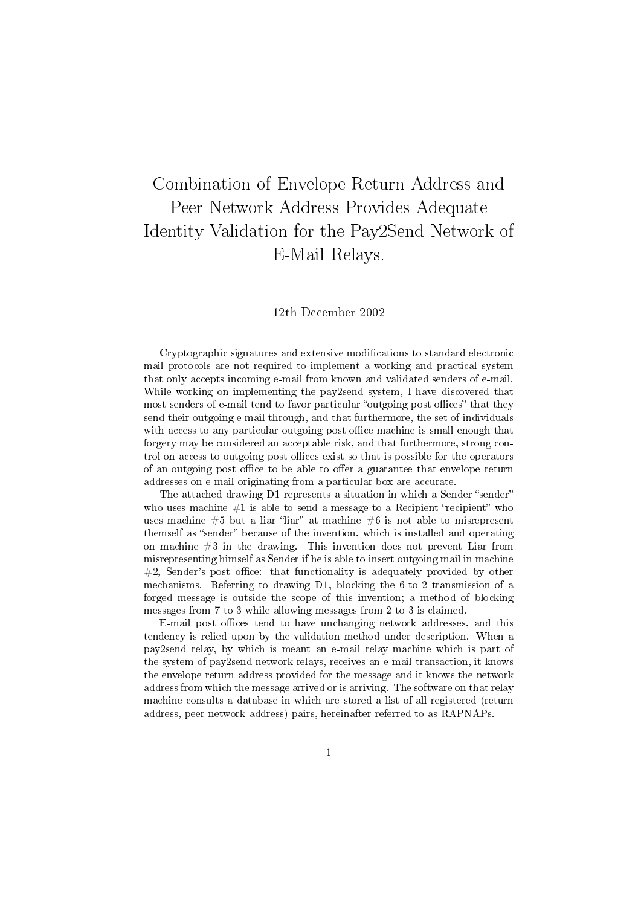# Combination of Envelope Return Address and Peer Network Address Provides Adequate Identity Validation for the Pay2Send Network of E-Mail Relays.

### 12th December 2002

Cryptographic signatures and extensive modifications to standard electronic mail protocols are not required to implement a working and practical system that only accepts incoming e-mail from known and validated senders of e-mail. While working on implementing the pay2send system, I have discovered that most senders of e-mail tend to favor particular "outgoing post offices" that they send their outgoing e-mail through, and that furthermore, the set of individuals with access to any particular outgoing post office machine is small enough that forgery may be considered an acceptable risk, and that furthermore, strong control on access to outgoing post offices exist so that is possible for the operators of an outgoing post office to be able to offer a guarantee that envelope return addresses on e-mail originating from a particular box are accurate.

The attached drawing D1 represents a situation in which a Sender "sender" who uses machine  $#1$  is able to send a message to a Recipient "recipient" who uses machine  $#5$  but a liar "liar" at machine  $#6$  is not able to misrepresent themself as "sender" because of the invention, which is installed and operating on machine #3 in the drawing. This invention does not prevent Liar from misrepresenting himself as Sender if he is able to insert outgoing mail in machine  $#2$ , Sender's post office: that functionality is adequately provided by other mechanisms. Referring to drawing D1, blocking the 6-to-2 transmission of a forged message is outside the scope of this invention; a method of blocking messages from 7 to 3 while allowing messages from 2 to 3 is claimed.

E-mail post offices tend to have unchanging network addresses, and this tendency is relied upon by the validation method under description. When a pay2send relay, by which is meant an e-mail relay machine which is part of the system of pay2send network relays, receives an e-mail transaction, it knows the envelope return address provided for the message and it knows the network address from which the message arrived or is arriving. The software on that relay machine consults a database in which are stored a list of all registered (return address, peer network address) pairs, hereinafter referred to as RAPNAPs.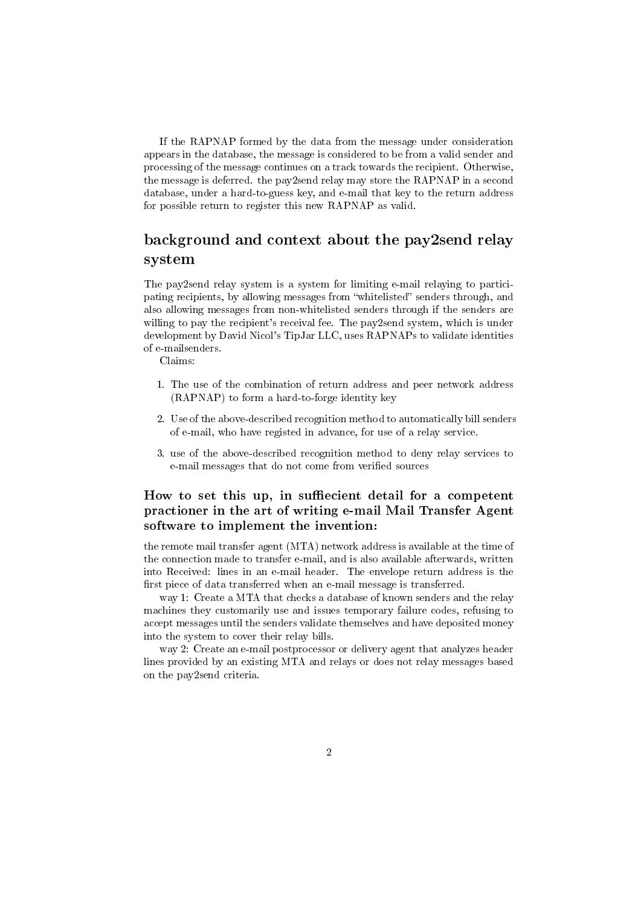If the RAPNAP formed by the data from the message under consideration appears in the database, the message is considered to be from a valid sender and processing of the message continues on a track towards the recipient. Otherwise, the message is deferred. the pay2send relay may store the RAPNAP in a second database, under a hard-to-guess key, and e-mail that key to the return address for possible return to register this new RAPNAP as valid.

# background and context about the pay2send relay system

The pay2send relay system is a system for limiting e-mail relaying to participating recipients, by allowing messages from "whitelisted" senders through, and also allowing messages from non-whitelisted senders through if the senders are willing to pay the recipient's receival fee. The pay2send system, which is under development by David Nicol's TipJar LLC, uses RAPNAPs to validate identities of e-mailsenders.

Claims:

- 1. The use of the combination of return address and peer network address (RAPNAP) to form a hard-to-forge identity key
- 2. Use of the above-described recognition method to automatically bill senders of e-mail, who have registed in advance, for use of a relay service.
- 3. use of the above-described recognition method to deny relay services to e-mail messages that do not come from verified sources

# How to set this up, in suffiecient detail for a competent practioner in the art of writing e-mail Mail Transfer Agent software to implement the invention:

the remote mail transfer agent (MTA) network address is available at the time of the connection made to transfer e-mail, and is also available afterwards, written into Received: lines in an e-mail header. The envelope return address is the first piece of data transferred when an e-mail message is transferred.

way 1: Create a MTA that checks a database of known senders and the relay machines they customarily use and issues temporary failure codes, refusing to accept messages until the senders validate themselves and have deposited money into the system to cover their relay bills.

way 2: Create an e-mail postprocessor or delivery agent that analyzes header lines provided by an existing MTA and relays or does not relay messages based on the pay2send criteria.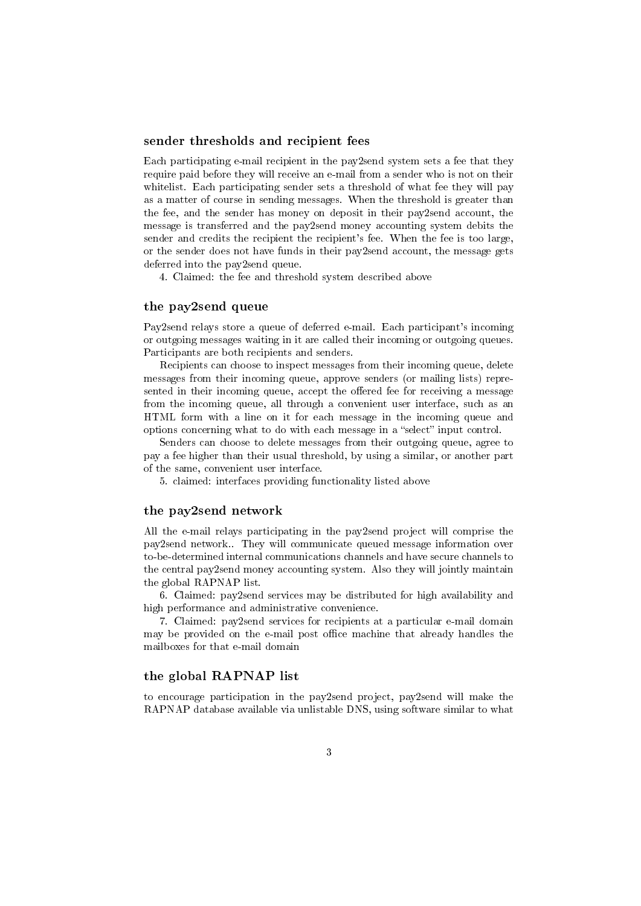#### sender thresholds and recipient fees

Each participating e-mail recipient in the pay2send system sets a fee that they require paid before they will receive an e-mail from a sender who is not on their whitelist. Each participating sender sets a threshold of what fee they will pay as a matter of course in sending messages. When the threshold is greater than the fee, and the sender has money on deposit in their pay2send account, the message is transferred and the pay2send money accounting system debits the sender and credits the recipient the recipient's fee. When the fee is too large, or the sender does not have funds in their pay2send account, the message gets deferred into the pay2send queue.

4. Claimed: the fee and threshold system described above

#### the pay2send queue

Pay2send relays store a queue of deferred e-mail. Each participant's incoming or outgoing messages waiting in it are called their incoming or outgoing queues. Participants are both recipients and senders.

Recipients can choose to inspect messages from their incoming queue, delete messages from their incoming queue, approve senders (or mailing lists) represented in their incoming queue, accept the offered fee for receiving a message from the incoming queue, all through a convenient user interface, such as an HTML form with a line on it for each message in the incoming queue and options concerning what to do with each message in a "select" input control.

Senders can choose to delete messages from their outgoing queue, agree to pay a fee higher than their usual threshold, by using a similar, or another part of the same, convenient user interface.

5. claimed: interfaces providing functionality listed above

#### the pay2send network

All the e-mail relays participating in the pay2send project will comprise the pay2send network.. They will communicate queued message information over to-be-determined internal communications channels and have secure channels to the central pay2send money accounting system. Also they will jointly maintain the global RAPNAP list.

6. Claimed: pay2send services may be distributed for high availability and high performance and administrative convenience.

7. Claimed: pay2send services for recipients at a particular e-mail domain may be provided on the e-mail post office machine that already handles the mailboxes for that e-mail domain

## the global RAPNAP list

to encourage participation in the pay2send project, pay2send will make the RAPNAP database available via unlistable DNS, using software similar to what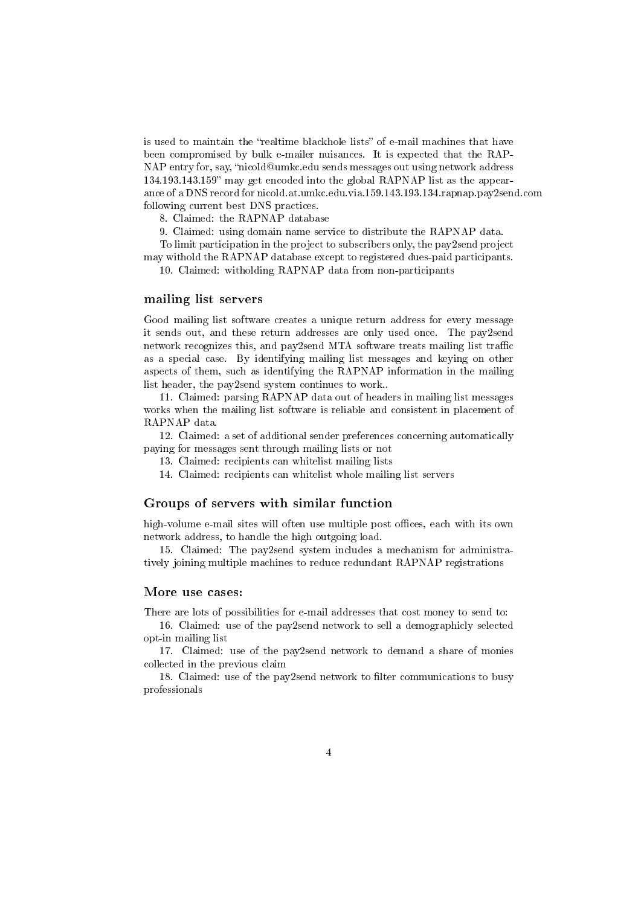is used to maintain the "realtime blackhole lists" of e-mail machines that have been compromised by bulk e-mailer nuisances. It is expected that the RAP-NAP entry for, say, "nicold@umkc.edu sends messages out using network address 134.193.143.159" may get encoded into the global RAPNAP list as the appearance of a DNS record for nicold.at.umkc.edu.via.159.143.193.134.rapnap.pay2send.com following current best DNS practices.

8. Claimed: the RAPNAP database

9. Claimed: using domain name service to distribute the RAPNAP data.

To limit participation in the project to subscribers only, the pay2send project may withold the RAPNAP database except to registered dues-paid participants.

10. Claimed: witholding RAPNAP data from non-participants

#### mailing list servers

Good mailing list software creates a unique return address for every message it sends out, and these return addresses are only used once. The pay2send network recognizes this, and pay2send MTA software treats mailing list traffic as a special case. By identifying mailing list messages and keying on other aspects of them, such as identifying the RAPNAP information in the mailing list header, the pay2send system continues to work..

11. Claimed: parsing RAPNAP data out of headers in mailing list messages works when the mailing list software is reliable and consistent in placement of RAPNAP data.

12. Claimed: a set of additional sender preferences concerning automatically paying for messages sent through mailing lists or not

- 13. Claimed: recipients can whitelist mailing lists
- 14. Claimed: recipients can whitelist whole mailing list servers

#### Groups of servers with similar function

high-volume e-mail sites will often use multiple post offices, each with its own network address, to handle the high outgoing load.

15. Claimed: The pay2send system includes a mechanism for administratively joining multiple machines to reduce redundant RAPNAP registrations

#### More use cases:

There are lots of possibilities for e-mail addresses that cost money to send to:

16. Claimed: use of the pay2send network to sell a demographicly selected opt-in mailing list

17. Claimed: use of the pay2send network to demand a share of monies collected in the previous claim

18. Claimed: use of the pay2send network to filter communications to busy professionals